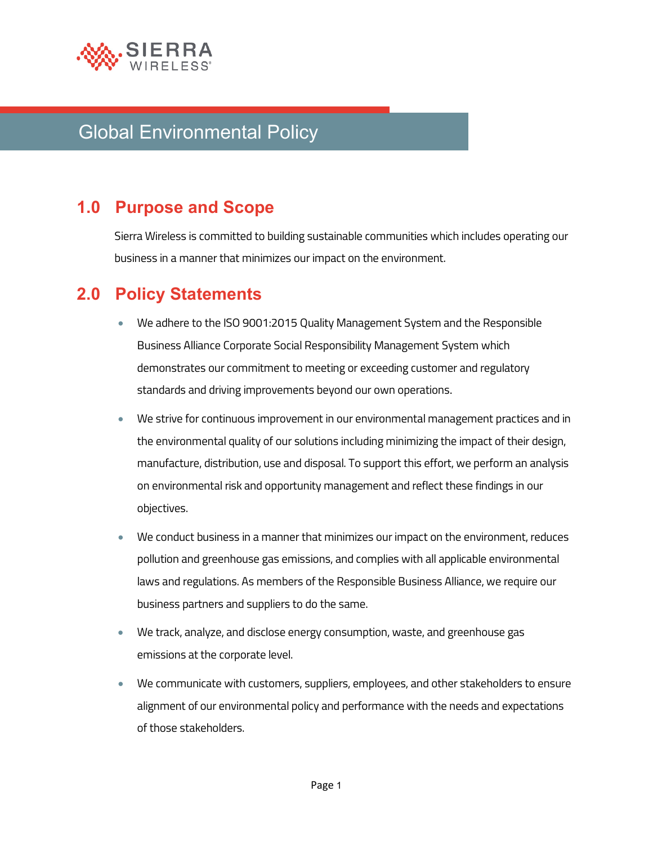

# Global Environmental Policy

## **1.0 Purpose and Scope**

Sierra Wireless is committed to building sustainable communities which includes operating our business in a manner that minimizes our impact on the environment.

#### **2.0 Policy Statements**

- We adhere to the ISO 9001:2015 Quality Management System and the Responsible Business Alliance Corporate Social Responsibility Management System which demonstrates our commitment to meeting or exceeding customer and regulatory standards and driving improvements beyond our own operations.
- We strive for continuous improvement in our environmental management practices and in the environmental quality of our solutions including minimizing the impact of their design, manufacture, distribution, use and disposal. To support this effort, we perform an analysis on environmental risk and opportunity management and reflect these findings in our objectives.
- We conduct business in a manner that minimizes our impact on the environment, reduces pollution and greenhouse gas emissions, and complies with all applicable environmental laws and regulations. As members of the Responsible Business Alliance, we require our business partners and suppliers to do the same.
- We track, analyze, and disclose energy consumption, waste, and greenhouse gas emissions at the corporate level.
- We communicate with customers, suppliers, employees, and other stakeholders to ensure alignment of our environmental policy and performance with the needs and expectations of those stakeholders.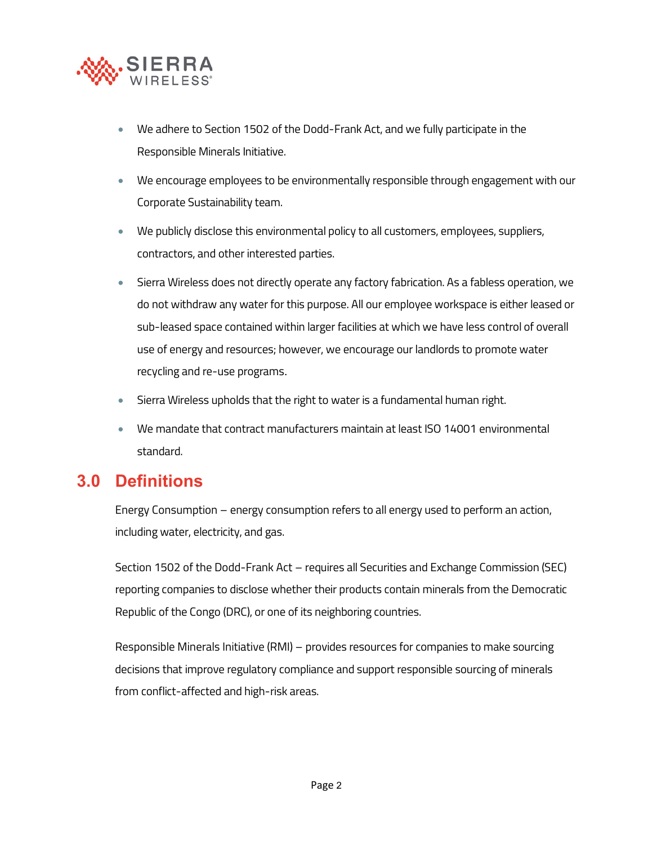

- We adhere to Section 1502 of the Dodd-Frank Act, and we fully participate in the Responsible Minerals Initiative.
- We encourage employees to be environmentally responsible through engagement with our Corporate Sustainability team.
- We publicly disclose this environmental policy to all customers, employees, suppliers, contractors, and other interested parties.
- Sierra Wireless does not directly operate any factory fabrication. As a fabless operation, we do not withdraw any water for this purpose. All our employee workspace is either leased or sub-leased space contained within larger facilities at which we have less control of overall use of energy and resources; however, we encourage our landlords to promote water recycling and re-use programs.
- Sierra Wireless upholds that the right to water is a fundamental human right.
- We mandate that contract manufacturers maintain at least ISO 14001 environmental standard.

#### **3.0 Definitions**

Energy Consumption – energy consumption refers to all energy used to perform an action, including water, electricity, and gas.

Section 1502 of the Dodd-Frank Act – requires all Securities and Exchange Commission (SEC) reporting companies to disclose whether their products contain minerals from the Democratic Republic of the Congo (DRC), or one of its neighboring countries.

Responsible Minerals Initiative (RMI) – provides resources for companies to make sourcing decisions that improve regulatory compliance and support responsible sourcing of minerals from conflict-affected and high-risk areas.